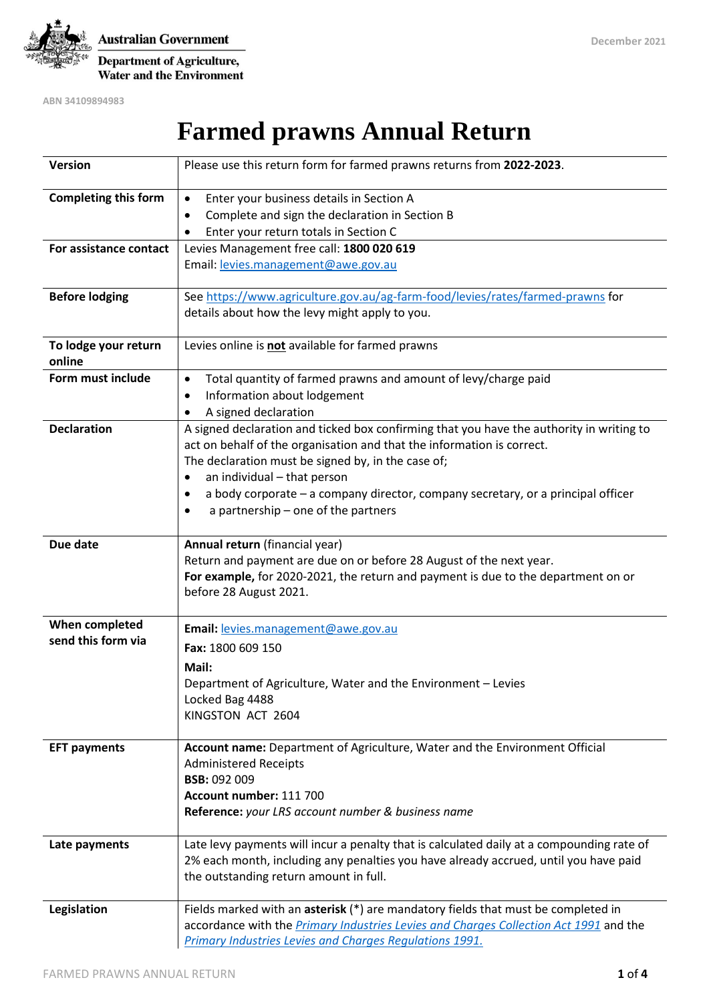

**Australian Government** Department of Agriculture, **Water and the Environment** 

**ABN 34109894983**

# **Farmed prawns Annual Return**

| <b>Version</b>              | Please use this return form for farmed prawns returns from 2022-2023.                                                        |
|-----------------------------|------------------------------------------------------------------------------------------------------------------------------|
| <b>Completing this form</b> | Enter your business details in Section A<br>$\bullet$                                                                        |
|                             | Complete and sign the declaration in Section B<br>٠                                                                          |
|                             | Enter your return totals in Section C                                                                                        |
| For assistance contact      | Levies Management free call: 1800 020 619                                                                                    |
|                             | Email: levies.management@awe.gov.au                                                                                          |
| <b>Before lodging</b>       | See https://www.agriculture.gov.au/ag-farm-food/levies/rates/farmed-prawns for                                               |
|                             | details about how the levy might apply to you.                                                                               |
| To lodge your return        | Levies online is not available for farmed prawns                                                                             |
| online                      |                                                                                                                              |
| Form must include           | Total quantity of farmed prawns and amount of levy/charge paid<br>٠                                                          |
|                             | Information about lodgement<br>٠                                                                                             |
|                             | A signed declaration                                                                                                         |
| <b>Declaration</b>          | A signed declaration and ticked box confirming that you have the authority in writing to                                     |
|                             | act on behalf of the organisation and that the information is correct.                                                       |
|                             | The declaration must be signed by, in the case of;                                                                           |
|                             | an individual - that person<br>٠                                                                                             |
|                             | a body corporate – a company director, company secretary, or a principal officer<br>٠<br>a partnership - one of the partners |
|                             |                                                                                                                              |
| Due date                    | Annual return (financial year)                                                                                               |
|                             | Return and payment are due on or before 28 August of the next year.                                                          |
|                             | For example, for 2020-2021, the return and payment is due to the department on or                                            |
|                             | before 28 August 2021.                                                                                                       |
| When completed              | Email: levies.management@awe.gov.au                                                                                          |
| send this form via          | Fax: 1800 609 150                                                                                                            |
|                             | Mail:                                                                                                                        |
|                             | Department of Agriculture, Water and the Environment - Levies                                                                |
|                             | Locked Bag 4488                                                                                                              |
|                             | KINGSTON ACT 2604                                                                                                            |
|                             |                                                                                                                              |
| <b>EFT payments</b>         | Account name: Department of Agriculture, Water and the Environment Official                                                  |
|                             | <b>Administered Receipts</b>                                                                                                 |
|                             | <b>BSB: 092 009</b>                                                                                                          |
|                             | Account number: 111 700                                                                                                      |
|                             | Reference: your LRS account number & business name                                                                           |
| Late payments               | Late levy payments will incur a penalty that is calculated daily at a compounding rate of                                    |
|                             | 2% each month, including any penalties you have already accrued, until you have paid                                         |
|                             | the outstanding return amount in full.                                                                                       |
| Legislation                 | Fields marked with an asterisk (*) are mandatory fields that must be completed in                                            |
|                             | accordance with the <i>Primary Industries Levies and Charges Collection Act 1991</i> and the                                 |
|                             | Primary Industries Levies and Charges Regulations 1991.                                                                      |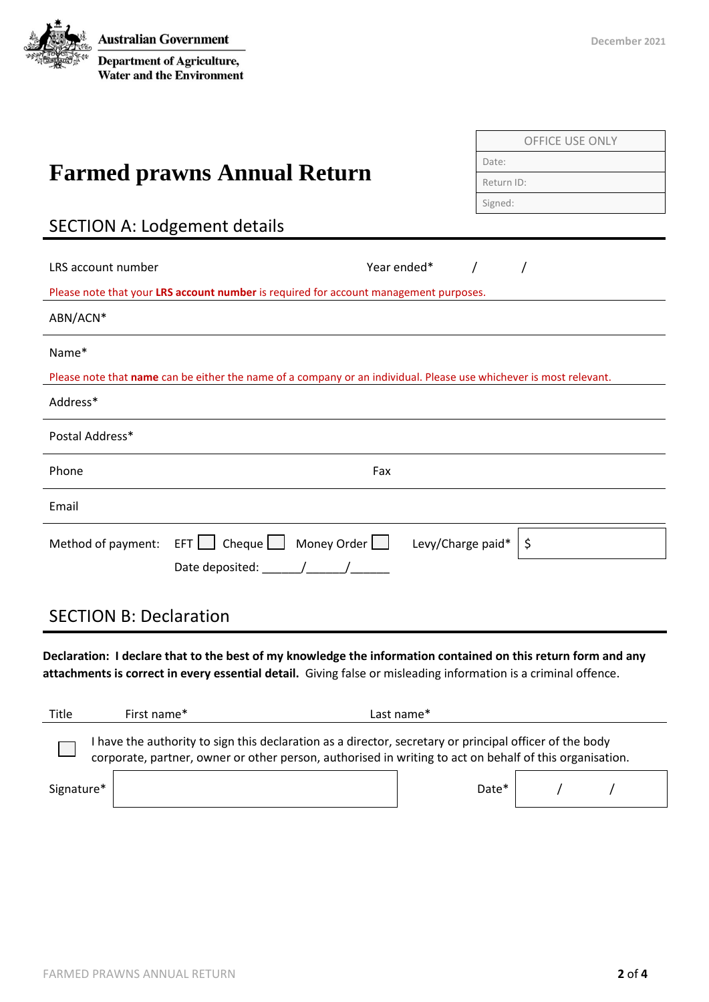**Australian Government** Department of Agriculture, **Water and the Environment** 

|                                                                                                                                                                                                                                                                                                                                                                                                                   | <b>OFFICE USE ONLY</b>                |  |  |  |  |  |
|-------------------------------------------------------------------------------------------------------------------------------------------------------------------------------------------------------------------------------------------------------------------------------------------------------------------------------------------------------------------------------------------------------------------|---------------------------------------|--|--|--|--|--|
|                                                                                                                                                                                                                                                                                                                                                                                                                   | Date:                                 |  |  |  |  |  |
| <b>Farmed prawns Annual Return</b>                                                                                                                                                                                                                                                                                                                                                                                | Return ID:                            |  |  |  |  |  |
|                                                                                                                                                                                                                                                                                                                                                                                                                   | Signed:                               |  |  |  |  |  |
| <b>SECTION A: Lodgement details</b>                                                                                                                                                                                                                                                                                                                                                                               |                                       |  |  |  |  |  |
|                                                                                                                                                                                                                                                                                                                                                                                                                   |                                       |  |  |  |  |  |
| LRS account number                                                                                                                                                                                                                                                                                                                                                                                                | Year ended*<br>$\sqrt{2}$<br>$\prime$ |  |  |  |  |  |
| Please note that your LRS account number is required for account management purposes.                                                                                                                                                                                                                                                                                                                             |                                       |  |  |  |  |  |
| ABN/ACN*                                                                                                                                                                                                                                                                                                                                                                                                          |                                       |  |  |  |  |  |
| Name*                                                                                                                                                                                                                                                                                                                                                                                                             |                                       |  |  |  |  |  |
| Please note that name can be either the name of a company or an individual. Please use whichever is most relevant.                                                                                                                                                                                                                                                                                                |                                       |  |  |  |  |  |
| Address*                                                                                                                                                                                                                                                                                                                                                                                                          |                                       |  |  |  |  |  |
| Postal Address*                                                                                                                                                                                                                                                                                                                                                                                                   |                                       |  |  |  |  |  |
| Phone                                                                                                                                                                                                                                                                                                                                                                                                             | Fax                                   |  |  |  |  |  |
| Email                                                                                                                                                                                                                                                                                                                                                                                                             |                                       |  |  |  |  |  |
| Method of payment: EFT $\Box$ Cheque $\Box$ Money Order $\Box$ Levy/Charge paid*                                                                                                                                                                                                                                                                                                                                  | \$                                    |  |  |  |  |  |
| Date deposited: $\frac{1}{\sqrt{1-\frac{1}{2}}}\frac{1}{\sqrt{1-\frac{1}{2}}}\frac{1}{\sqrt{1-\frac{1}{2}}}\frac{1}{\sqrt{1-\frac{1}{2}}}\frac{1}{\sqrt{1-\frac{1}{2}}}\frac{1}{\sqrt{1-\frac{1}{2}}}\frac{1}{\sqrt{1-\frac{1}{2}}}\frac{1}{\sqrt{1-\frac{1}{2}}}\frac{1}{\sqrt{1-\frac{1}{2}}}\frac{1}{\sqrt{1-\frac{1}{2}}}\frac{1}{\sqrt{1-\frac{1}{2}}}\frac{1}{\sqrt{1-\frac{1}{2}}}\frac{1}{\sqrt{1-\frac{$ |                                       |  |  |  |  |  |
| <b>SECTION B: Declaration</b>                                                                                                                                                                                                                                                                                                                                                                                     |                                       |  |  |  |  |  |

**Declaration: I declare that to the best of my knowledge the information contained on this return form and any attachments is correct in every essential detail.** Giving false or misleading information is a criminal offence.

| Title      | First name*                                                                                                                                                                                                        | Last name* |  |  |  |  |
|------------|--------------------------------------------------------------------------------------------------------------------------------------------------------------------------------------------------------------------|------------|--|--|--|--|
|            | I have the authority to sign this declaration as a director, secretary or principal officer of the body<br>corporate, partner, owner or other person, authorised in writing to act on behalf of this organisation. |            |  |  |  |  |
| Signature* |                                                                                                                                                                                                                    | Date*      |  |  |  |  |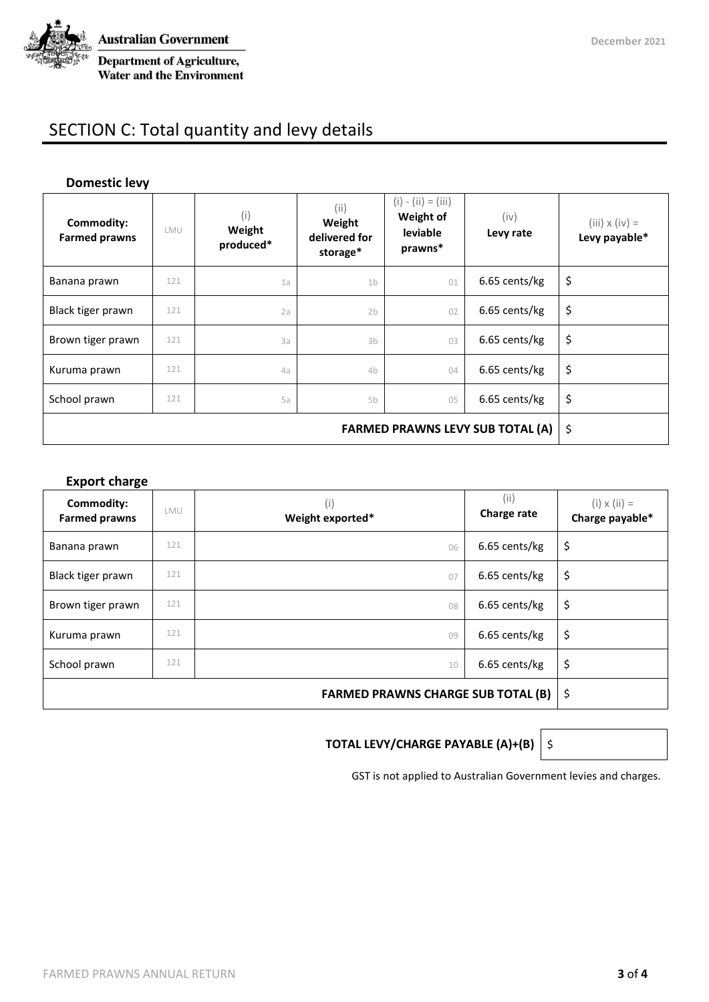

# SECTION C: Total quantity and levy details

#### **Domestic levy**

| Commodity:<br><b>Farmed prawns</b>      | LMU | (i)<br>Weight<br>produced* | (ii)<br>Weight<br>delivered for<br>storage* | $(i) - (ii) = (iii)$<br>Weight of<br>leviable<br>prawns* | (iv)<br>Levy rate | $(iii) \times (iv) =$<br>Levy payable* |
|-----------------------------------------|-----|----------------------------|---------------------------------------------|----------------------------------------------------------|-------------------|----------------------------------------|
| Banana prawn                            | 121 | 1a                         | 1 <sub>b</sub>                              | 01                                                       | 6.65 cents/kg     | \$                                     |
| Black tiger prawn                       | 121 | 2a                         | 2 <sub>b</sub>                              | 02                                                       | 6.65 cents/kg     | \$                                     |
| Brown tiger prawn                       | 121 | 3a                         | 3 <sub>b</sub>                              | 03                                                       | 6.65 cents/kg     | \$                                     |
| Kuruma prawn                            | 121 | 4a                         | 4b                                          | 04                                                       | 6.65 cents/kg     | \$                                     |
| School prawn                            | 121 | 5a                         | 5b                                          | 05                                                       | 6.65 cents/kg     | \$                                     |
| <b>FARMED PRAWNS LEVY SUB TOTAL (A)</b> |     |                            |                                             |                                                          |                   | \$                                     |

#### **Export charge**

| Commodity:<br><b>Farmed prawns</b> | LMU | (i)<br>Weight exported* | (iii)<br>Charge rate | $(i) \times (ii) =$<br>Charge payable* |
|------------------------------------|-----|-------------------------|----------------------|----------------------------------------|
| Banana prawn                       | 121 | 06                      | 6.65 cents/kg        | \$                                     |
| Black tiger prawn                  | 121 | 07                      | 6.65 cents/kg        | \$                                     |
| Brown tiger prawn                  | 121 | 08                      | 6.65 cents/kg        | \$                                     |
| Kuruma prawn                       | 121 | 09                      | 6.65 cents/kg        | \$                                     |
| School prawn                       | 121 | 10                      | 6.65 cents/kg        | \$                                     |
|                                    | \$  |                         |                      |                                        |

#### **TOTAL LEVY/CHARGE PAYABLE (A)+(B)**  $\Big\vert$  \$

GST is not applied to Australian Government levies and charges.